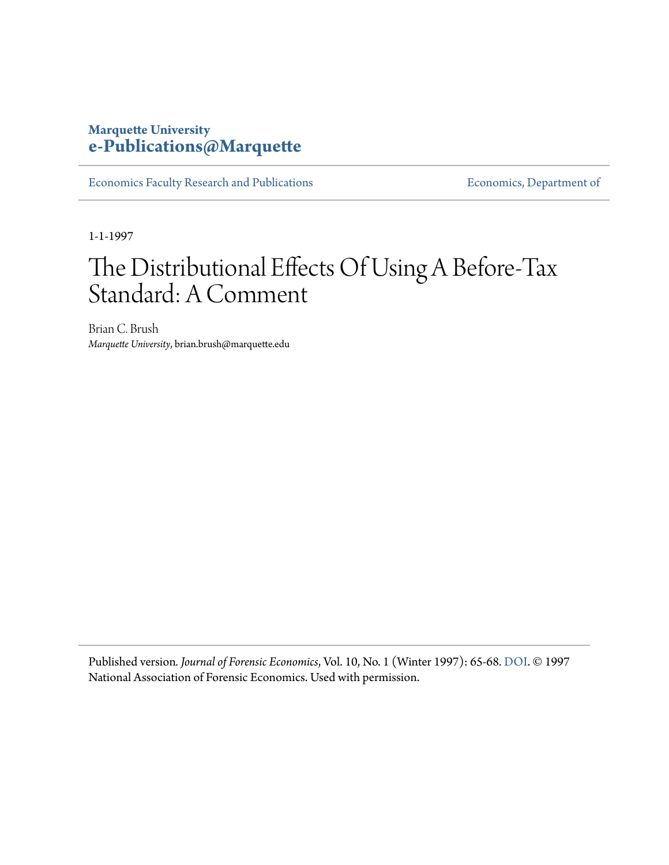# **Marquette University [e-Publications@Marquette](https://epublications.marquette.edu)**

[Economics Faculty Research and Publications](https://epublications.marquette.edu/econ_fac) **Economics**, Department of

1-1-1997

# The Distributional Effects Of Using A Before-Tax Standard: A Comment

Brian C. Brush *Marquette University*, brian.brush@marquette.edu

Published version*. Journal of Forensic Economics*, Vol. 10, No. 1 (Winter 1997): 65-68. [DOI.](https://doi.org/10.5085/jfe.10.1.65) © 1997 National Association of Forensic Economics. Used with permission.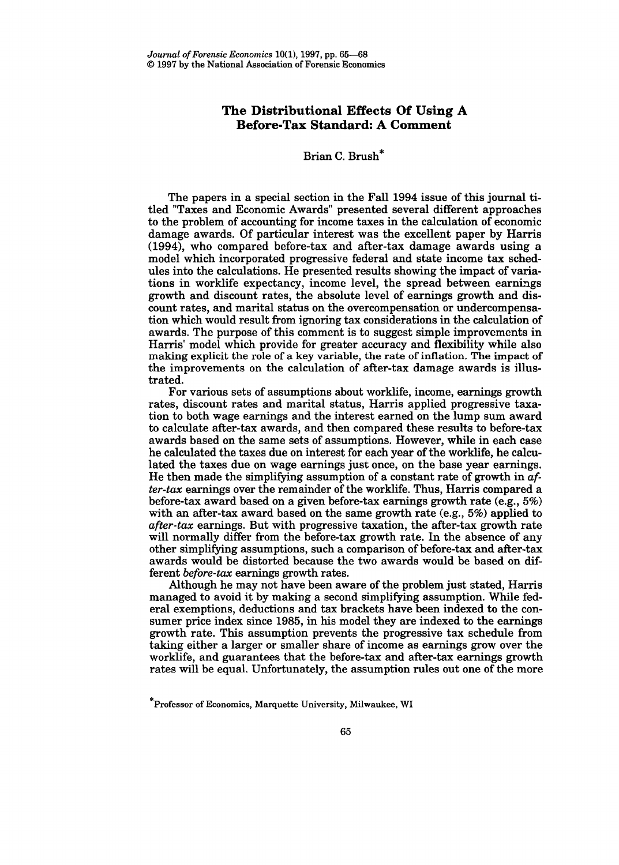## **The Distributional Effects Of Using A Before-Tax Standard: A Comment**

### Brian C. Brush\*

The papers in a special section in the Fall 1994 issue of this journal titled "Taxes and Economic Awards" presented several different approaches to the problem of accounting for income taxes in the calculation of economic damage awards. Of particular interest was the excellent paper by Harris (1994), who compared before-tax and after-tax damage awards using model which incorporated progressive federal and state income tax schedules into the calculations. He presented results showing the impact of variations in worklife expectancy, income level, the spread between earnings growth and discount rates, the absolute level of earnings growth and discount rates, and marital status on the overcompensation or undercompensation which would result from ignoring tax considerations in the calculation of awards. The purpose of this comment is to suggest simple improvements in Harris' model which provide for greater accuracy and flexibility while also making explicit the role of a key variable, the rate of inflation. The impact of the improvements on the calculation of after-tax damage awards is illustrated.

For various sets of assumptions about worklife, income, earnings growth rates, discount rates and marital status, Harris applied progressive taxation to both wage earnings and the interest earned on the lump sum award to calculate after-tax awards, and then compared these results to before-tax awards based on the same sets of assumptions. However, while in each case he calculated the taxes due on interest for each year of the worklife, he calculated the taxes due on wage earnings just once, on the base year earnings. He then made the simplifying assumption of a constant rate of growth in *after-tax* earnings over the remainder of the worklife. Thus, Harris compared a before-tax award based on a given before-tax earnings growth rate (e.g., 5%) with an after-tax award based on the same growth rate (e.g.,  $5\%$ ) applied to *after-tax* earnings. But with progressive taxation, the after-tax growth rate will normally differ from the before-tax growth rate. In the absence of any other simplifying assumptions, such a comparison of before-tax and after-tax awards would be distorted because the two awards would be based on different *before-tax* earnings growth rates.

Although he may not have been aware of the problem just stated, Harris managed to avoid it by making a second simplifying assumption. While federal exemptions, deductions and tax brackets have been indexed to the consumer price index since 1985, in his model they are indexed to the earnings growth rate. This assumption prevents the progressive tax schedule from taking either a larger or smaller share of income as earnings grow over the worklife, and guarantees that the before-tax and after-tax earnings growth rates will be equal. Unfortunately, the assumption rules out one of the more

<sup>\*</sup>Professor of Economics, Marquette University, Milwaukee, WI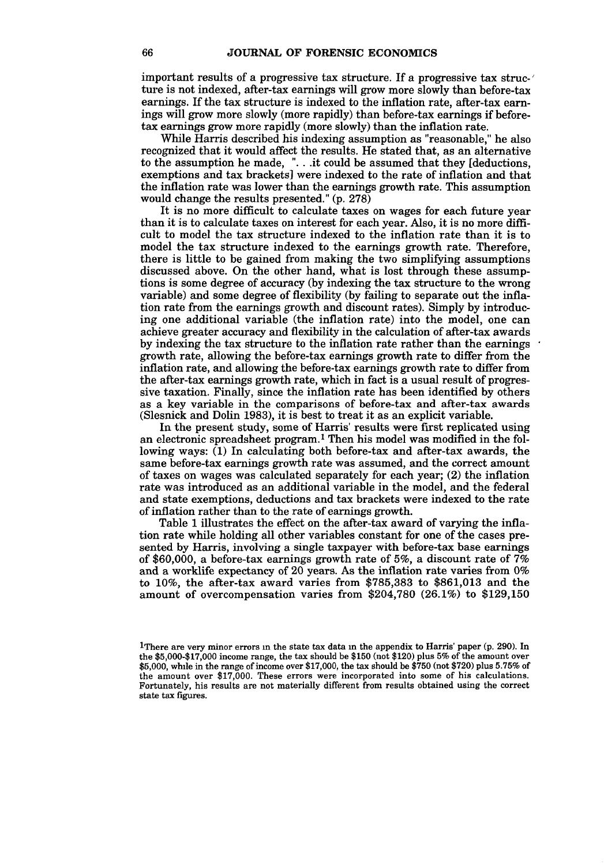important results of a progressive tax structure. If a progressive tax structure is not indexed, after-tax earnings will grow more slowly than before-tax earnings. If the tax structure is indexed to the inflation rate, after-tax earnings will grow more slowly (more rapidly) than before-tax earnings if beforetax earnings grow more rapidly (more slowly) than the inflation rate.

While Harris described his indexing assumption as "reasonable," he also recognized that it would affect the results. He stated that, as an alternative to the assumption he made, "...it could be assumed that they [deductions, exemptions and tax brackets] were indexed to the rate of inflation and that the inflation rate was lower than the earnings growth rate. This assumption would change the results presented." (p. 278)

It is no more difficult to calculate taxes on wages for each future year than it is to calculate taxes on interest for each year. Also, it is no more difficult to model the tax structure indexed to the inflation rate than it is to model the tax structure indexed to the earnings growth rate. Therefore, there is little to be gained from making the two simplifying assumptions discussed above. On the other hand, what is lost through these assumptions is some degree of accuracy (by indexing the tax structure to the wrong variable) and some degree of flexibility (by failing to separate out the infiation rate from the earnings growth and discount rates). Simply by introducing one additional variable (the inflation rate) into the model, one can achieve greater accuracy and flexibility in the calculation of after-tax awards by indexing the tax structure to the inflation rate rather than the earnings · growth rate, allowing the before-tax earnings growth rate to differ from the inflation rate, and allowing the before-tax earnings growth rate to differ from the after-tax earnings growth rate, which in fact is a usual result of progressive taxation. Finally, since the inflation rate has been identified by others as a key variable in the comparisons of before-tax and after-tax awards (Slesnick and Dolin 1983), it is best to treat it as an explicit variable.

In the present study, some of Harris' results were first replicated using an electronic spreadsheet program.1 Then his model was modified in the following ways: (1) In calculating both before-tax and after-tax awards, the same before-tax earnings growth rate was assumed, and the correct amount of taxes on wages was calculated separately for each year; (2) the inflation rate was introduced as an additional variable in the model, and the federal and state exemptions, deductions and tax brackets were indexed to the rate of inflation rather than to the rate of earnings growth.

Table 1 illustrates the effect on the after-tax award of varying the inflation rate while holding all other variables constant for one of the cases presented by Harris, involving a single taxpayer with before-tax base earnings of \$60,000, a before-tax earnings growth rate of 5%, a discount rate of 7% and a worklife expectancy of 20 years. As the inflation rate varies from 0% to 10%, the after-tax award varies from \$785,383 to \$861,013 and the amount of overcompensation varies from \$204,780 (26.1%) to \$129,150

<sup>1</sup>There are very minor errors in the state tax data in the appendix to Harris' paper (p. 290). In the \$5,000-\$17,000 income range, the tax should be \$150 (not \$120) plus 5% of the amount over \$5,000, while in the range of income over \$17,000, the tax should be \$750 (not \$720) plus 5.75% the amount over \$17,000. These errors were incorporated into some of his calculations. Fortunately, his results are not materially different from results obtained using the correct state tax figures.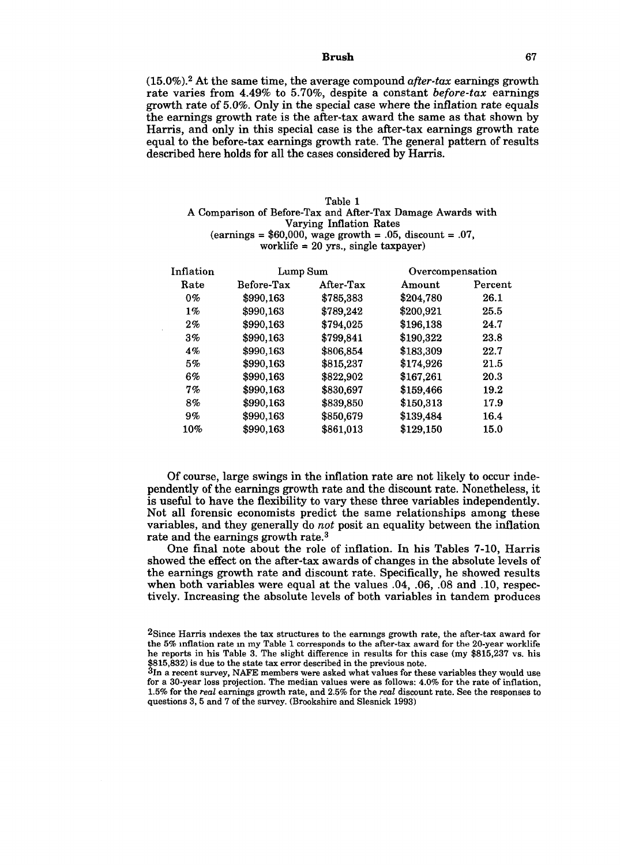#### **Brush** 67

(15.0%). 2 At the same time, the average compound *after-tax* earnings growth rate varies from 4.49% to 5.70%, despite a constant *before-tax* earnings growth rate of 5.0%. Only in the special case where the inflation rate equals the earnings growth rate is the after-tax award the same as that shown by Harris, and only in this special case is the after-tax earnings growth rate equal to the before-tax earnings growth rate. The general pattern of results described here holds for all the cases considered by Harris.

#### Table 1

#### A Comparison of Before-Tax and After-Tax Damage Awards with Varying Inflation Rates  $\text{(earnings = $60,000, wage growth = .05, discount = .07,}$ worklife  $= 20$  yrs., single taxpayer)

| Inflation | Lump Sum   |           | Overcompensation |         |
|-----------|------------|-----------|------------------|---------|
| Rate      | Before-Tax | After-Tax | Amount           | Percent |
| $0\%$     | \$990,163  | \$785,383 | \$204,780        | 26.1    |
| $1\%$     | \$990,163  | \$789,242 | \$200,921        | 25.5    |
| $2\%$     | \$990,163  | \$794,025 | \$196,138        | 24.7    |
| 3%        | \$990,163  | \$799,841 | \$190,322        | 23.8    |
| $4\%$     | \$990,163  | \$806,854 | \$183,309        | 22.7    |
| 5%        | \$990,163  | \$815,237 | \$174,926        | 21.5    |
| 6%        | \$990,163  | \$822,902 | \$167,261        | 20.3    |
| 7%        | \$990,163  | \$830,697 | \$159,466        | 19.2    |
| 8%        | \$990,163  | \$839,850 | \$150,313        | 17.9    |
| 9%        | \$990,163  | \$850,679 | \$139,484        | 16.4    |
| 10%       | \$990,163  | \$861,013 | \$129,150        | 15.0    |

Of course, large swings in the inflation rate are not likely to occur independently of the earnings growth rate and the discount rate. Nonetheless, it is useful to have the flexibility to vary these three variables independently. Not all forensic economists predict the same relationships among these variables, and they generally do *not* posit an equality between the inflation rate and the earnings growth rate.<sup>3</sup>

One final note about the role of inflation. In his Tables 7-10, Harris showed the effect on the after-tax awards of changes in the absolute levels of the earnings growth rate and discount rate. Specifically, he showed results when both variables were equal at the values .04, .06, .08 and .10, respectively. Increasing the absolute levels of both variables in tandem produces

<sup>2</sup>Since Harris indexes the tax structures to the earnings growth rate, the after-tax award for the 5% inflation rate m my Table 1 corresponds to the after-tax award for the 20-year worklife he reports in his Table 3. The slight difference in results for this case (my \$815,237 vs. his \$815,832) is due to the state tax error described in the previous note.

 $3$ In a recent survey, NAFE members were asked what values for these variables they would use for a 30-year loss projection. The median values were as follows: 4.0% for the rate of inflation, 1.5% for the *real* earnings growth rate, and 2.5% for the *real* discount rate. See the responses to questions 3, 5 and 7 of the survey. (Brookshire and Slesnick 1993)